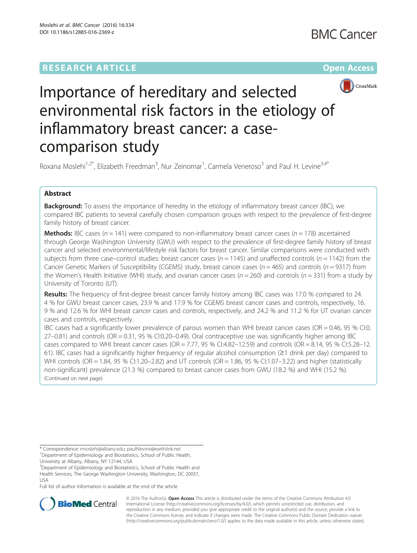# **RESEARCH ARTICLE Example 2014 12:30 The Company Access** (RESEARCH ARTICLE



# Importance of hereditary and selected environmental risk factors in the etiology of inflammatory breast cancer: a casecomparison study

Roxana Moslehi<sup>1,2\*</sup>, Elizabeth Freedman<sup>3</sup>, Nur Zeinomar<sup>1</sup>, Carmela Veneroso<sup>3</sup> and Paul H. Levine<sup>3,4\*</sup>

## Abstract

**Background:** To assess the importance of heredity in the etiology of inflammatory breast cancer (IBC), we compared IBC patients to several carefully chosen comparison groups with respect to the prevalence of first-degree family history of breast cancer.

**Methods:** IBC cases ( $n = 141$ ) were compared to non-inflammatory breast cancer cases ( $n = 178$ ) ascertained through George Washington University (GWU) with respect to the prevalence of first-degree family history of breast cancer and selected environmental/lifestyle risk factors for breast cancer. Similar comparisons were conducted with subjects from three case–control studies: breast cancer cases ( $n = 1145$ ) and unaffected controls ( $n = 1142$ ) from the Cancer Genetic Markers of Susceptibility (CGEMS) study, breast cancer cases ( $n = 465$ ) and controls ( $n = 9317$ ) from the Women's Health Initiative (WHI) study, and ovarian cancer cases ( $n = 260$ ) and controls ( $n = 331$ ) from a study by University of Toronto (UT).

Results: The frequency of first-degree breast cancer family history among IBC cases was 17.0 % compared to 24. 4 % for GWU breast cancer cases, 23.9 % and 17.9 % for CGEMS breast cancer cases and controls, respectively, 16. 9 % and 12.6 % for WHI breast cancer cases and controls, respectively, and 24.2 % and 11.2 % for UT ovarian cancer cases and controls, respectively.

IBC cases had a significantly lower prevalence of parous women than WHI breast cancer cases (OR = 0.46, 95 % CI:0. 27–0.81) and controls (OR = 0.31, 95 % CI:0.20–0.49). Oral contraceptive use was significantly higher among IBC cases compared to WHI breast cancer cases (OR = 7.77, 95 % CI:4.82–12.59) and controls (OR = 8.14, 95 % CI:5.28–12. 61). IBC cases had a significantly higher frequency of regular alcohol consumption (≥1 drink per day) compared to WHI controls (OR = 1.84, 95 % CI:1.20–2.82) and UT controls (OR = 1.86, 95 % CI:1.07–3.22) and higher (statistically non-significant) prevalence (21.3 %) compared to breast cancer cases from GWU (18.2 %) and WHI (15.2 %). (Continued on next page)

\* Correspondence: [rmoslehi@albany.edu](mailto:rmoslehi@albany.edu); [paulhlevine@earthlink.net](mailto:paulhlevine@earthlink.net) <sup>1</sup> <sup>1</sup>Department of Epidemiology and Biostatistics, School of Public Health,

University at Albany, Albany, NY 12144, USA

<sup>3</sup>Department of Epidemiology and Biostatistics, School of Public Health and Health Services, The George Washington University, Washington, DC 20037, USA

Full list of author information is available at the end of the article



© 2016 The Author(s). Open Access This article is distributed under the terms of the Creative Commons Attribution 4.0 International License [\(http://creativecommons.org/licenses/by/4.0/](http://creativecommons.org/licenses/by/4.0/)), which permits unrestricted use, distribution, and reproduction in any medium, provided you give appropriate credit to the original author(s) and the source, provide a link to the Creative Commons license, and indicate if changes were made. The Creative Commons Public Domain Dedication waiver [\(http://creativecommons.org/publicdomain/zero/1.0/](http://creativecommons.org/publicdomain/zero/1.0/)) applies to the data made available in this article, unless otherwise stated.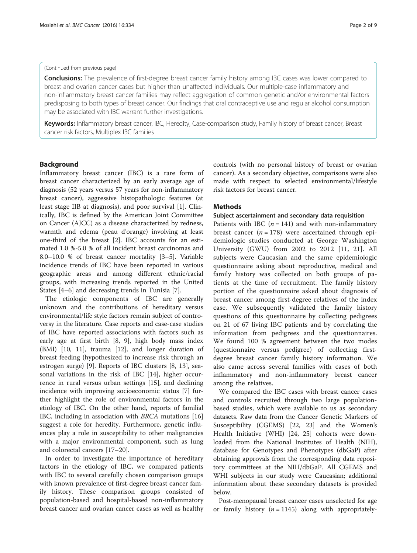## (Continued from previous page)

**Conclusions:** The prevalence of first-degree breast cancer family history among IBC cases was lower compared to breast and ovarian cancer cases but higher than unaffected individuals. Our multiple-case inflammatory and non-inflammatory breast cancer families may reflect aggregation of common genetic and/or environmental factors predisposing to both types of breast cancer. Our findings that oral contraceptive use and regular alcohol consumption may be associated with IBC warrant further investigations.

Keywords: Inflammatory breast cancer, IBC, Heredity, Case-comparison study, Family history of breast cancer, Breast cancer risk factors, Multiplex IBC families

## Background

Inflammatory breast cancer (IBC) is a rare form of breast cancer characterized by an early average age of diagnosis (52 years versus 57 years for non-inflammatory breast cancer), aggressive histopathologic features (at least stage IIB at diagnosis), and poor survival [\[1\]](#page-6-0). Clinically, IBC is defined by the American Joint Committee on Cancer (AJCC) as a disease characterized by redness, warmth and edema (peau d'orange) involving at least one-third of the breast [\[2\]](#page-7-0). IBC accounts for an estimated 1.0 %-5.0 % of all incident breast carcinomas and 8.0–10.0 % of breast cancer mortality [[3](#page-7-0)–[5\]](#page-7-0). Variable incidence trends of IBC have been reported in various geographic areas and among different ethnic/racial groups, with increasing trends reported in the United States [[4](#page-7-0)–[6\]](#page-7-0) and decreasing trends in Tunisia [[7\]](#page-7-0).

The etiologic components of IBC are generally unknown and the contributions of hereditary versus environmental/life style factors remain subject of controversy in the literature. Case reports and case-case studies of IBC have reported associations with factors such as early age at first birth [[8](#page-7-0), [9](#page-7-0)], high body mass index (BMI) [\[10](#page-7-0), [11](#page-7-0)], trauma [[12\]](#page-7-0), and longer duration of breast feeding (hypothesized to increase risk through an estrogen surge) [[9\]](#page-7-0). Reports of IBC clusters [[8, 13](#page-7-0)], seasonal variations in the risk of IBC [[14](#page-7-0)], higher occurrence in rural versus urban settings [[15\]](#page-7-0), and declining incidence with improving socioeconomic status [\[7](#page-7-0)] further highlight the role of environmental factors in the etiology of IBC. On the other hand, reports of familial IBC, including in association with BRCA mutations [[16](#page-7-0)] suggest a role for heredity. Furthermore, genetic influences play a role in susceptibility to other malignancies with a major environmental component, such as lung and colorectal cancers [\[17](#page-7-0)–[20\]](#page-7-0).

In order to investigate the importance of hereditary factors in the etiology of IBC, we compared patients with IBC to several carefully chosen comparison groups with known prevalence of first-degree breast cancer family history. These comparison groups consisted of population-based and hospital-based non-inflammatory breast cancer and ovarian cancer cases as well as healthy controls (with no personal history of breast or ovarian cancer). As a secondary objective, comparisons were also made with respect to selected environmental/lifestyle risk factors for breast cancer.

## **Methods**

## Subject ascertainment and secondary data requisition

Patients with IBC ( $n = 141$ ) and with non-inflammatory breast cancer ( $n = 178$ ) were ascertained through epidemiologic studies conducted at George Washington University (GWU) from 2002 to 2012 [[11, 21\]](#page-7-0). All subjects were Caucasian and the same epidemiologic questionnaire asking about reproductive, medical and family history was collected on both groups of patients at the time of recruitment. The family history portion of the questionnaire asked about diagnosis of breast cancer among first-degree relatives of the index case. We subsequently validated the family history questions of this questionnaire by collecting pedigrees on 21 of 67 living IBC patients and by correlating the information from pedigrees and the questionnaires. We found 100 % agreement between the two modes (questionnaire versus pedigree) of collecting firstdegree breast cancer family history information. We also came across several families with cases of both inflammatory and non-inflammatory breast cancer among the relatives.

We compared the IBC cases with breast cancer cases and controls recruited through two large populationbased studies, which were available to us as secondary datasets. Raw data from the Cancer Genetic Markers of Susceptibility (CGEMS) [\[22](#page-7-0), [23\]](#page-7-0) and the Women's Health Initiative (WHI) [\[24, 25](#page-7-0)] cohorts were downloaded from the National Institutes of Health (NIH), database for Genotypes and Phenotypes (dbGaP) after obtaining approvals from the corresponding data repository committees at the NIH/dbGaP. All CGEMS and WHI subjects in our study were Caucasian; additional information about these secondary datasets is provided below.

Post-menopausal breast cancer cases unselected for age or family history  $(n = 1145)$  along with appropriately-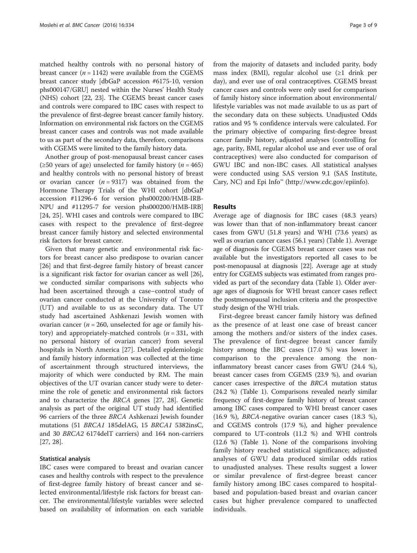matched healthy controls with no personal history of breast cancer ( $n = 1142$ ) were available from the CGEMS breast cancer study [dbGaP accession #6175-10, version phs000147/GRU] nested within the Nurses' Health Study (NHS) cohort [\[22, 23](#page-7-0)]. The CGEMS breast cancer cases and controls were compared to IBC cases with respect to the prevalence of first-degree breast cancer family history. Information on environmental risk factors on the CGEMS breast cancer cases and controls was not made available to us as part of the secondary data, therefore, comparisons with CGEMS were limited to the family history data.

Another group of post-menopausal breast cancer cases ( $\geq$ 50 years of age) unselected for family history (*n* = 465) and healthy controls with no personal history of breast or ovarian cancer  $(n = 9317)$  was obtained from the Hormone Therapy Trials of the WHI cohort [dbGaP accession #11296-6 for version phs000200/HMB-IRB-NPU and #11295-7 for version phs000200/HMB-IRB] [[24, 25\]](#page-7-0). WHI cases and controls were compared to IBC cases with respect to the prevalence of first-degree breast cancer family history and selected environmental risk factors for breast cancer.

Given that many genetic and environmental risk factors for breast cancer also predispose to ovarian cancer [[26\]](#page-7-0) and that first-degree family history of breast cancer is a significant risk factor for ovarian cancer as well [\[26](#page-7-0)], we conducted similar comparisons with subjects who had been ascertained through a case–control study of ovarian cancer conducted at the University of Toronto (UT) and available to us as secondary data. The UT study had ascertained Ashkenazi Jewish women with ovarian cancer ( $n = 260$ , unselected for age or family history) and appropriately-matched controls  $(n = 331, \text{ with})$ no personal history of ovarian cancer) from several hospitals in North America [\[27](#page-7-0)]. Detailed epidemiologic and family history information was collected at the time of ascertainment through structured interviews, the majority of which were conducted by RM. The main objectives of the UT ovarian cancer study were to determine the role of genetic and environmental risk factors and to characterize the BRCA genes [\[27, 28\]](#page-7-0). Genetic analysis as part of the original UT study had identified 96 carriers of the three BRCA Ashkenazi Jewish founder mutations (51 BRCA1 185delAG, 15 BRCA1 5382insC, and 30 BRCA2 6174delT carriers) and 164 non-carriers [[27, 28\]](#page-7-0).

## Statistical analysis

IBC cases were compared to breast and ovarian cancer cases and healthy controls with respect to the prevalence of first-degree family history of breast cancer and selected environmental/lifestyle risk factors for breast cancer. The environmental/lifestyle variables were selected based on availability of information on each variable

from the majority of datasets and included parity, body mass index (BMI), regular alcohol use (≥1 drink per day), and ever use of oral contraceptives. CGEMS breast cancer cases and controls were only used for comparison of family history since information about environmental/ lifestyle variables was not made available to us as part of the secondary data on these subjects. Unadjusted Odds ratios and 95 % confidence intervals were calculated. For the primary objective of comparing first-degree breast cancer family history, adjusted analyses (controlling for age, parity, BMI, regular alcohol use and ever use of oral contraceptives) were also conducted for comparison of GWU IBC and non-IBC cases. All statistical analyses were conducted using SAS version 9.1 (SAS Institute, Cary, NC) and Epi Info™ (<http://www.cdc.gov/epiinfo>).

## Results

Average age of diagnosis for IBC cases (48.3 years) was lower than that of non-inflammatory breast cancer cases from GWU (51.8 years) and WHI (73.6 years) as well as ovarian cancer cases (56.1 years) (Table [1\)](#page-3-0). Average age of diagnosis for CGEMS breast cancer cases was not available but the investigators reported all cases to be post-menopausal at diagnosis [[22](#page-7-0)]. Average age at study entry for CGEMS subjects was estimated from ranges provided as part of the secondary data (Table [1\)](#page-3-0). Older average ages of diagnosis for WHI breast cancer cases reflect the postmenopausal inclusion criteria and the prospective study design of the WHI trials.

First-degree breast cancer family history was defined as the presence of at least one case of breast cancer among the mothers and/or sisters of the index cases. The prevalence of first-degree breast cancer family history among the IBC cases (17.0 %) was lower in comparison to the prevalence among the noninflammatory breast cancer cases from GWU (24.4 %), breast cancer cases from CGEMS (23.9 %), and ovarian cancer cases irrespective of the BRCA mutation status (24.2 %) (Table [1\)](#page-3-0). Comparisons revealed nearly similar frequency of first-degree family history of breast cancer among IBC cases compared to WHI breast cancer cases (16.9 %), BRCA-negative ovarian cancer cases (18.3 %), and CGEMS controls (17.9 %), and higher prevalence compared to UT-controls (11.2 %) and WHI controls (12.6 %) (Table [1\)](#page-3-0). None of the comparisons involving family history reached statistical significance; adjusted analyses of GWU data produced similar odds ratios to unadjusted analyses. These results suggest a lower or similar prevalence of first-degree breast cancer family history among IBC cases compared to hospitalbased and population-based breast and ovarian cancer cases but higher prevalence compared to unaffected individuals.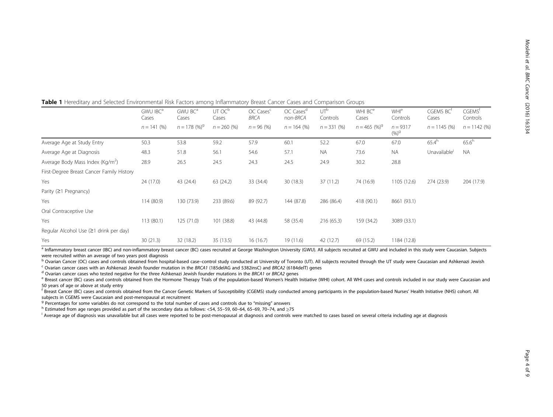|                                              | GWU IBC <sup>a</sup><br>Cases | GWU BC <sup>a</sup><br>Cases | UTOC <sup>b</sup><br>Cases | OC Cases <sup>c</sup><br><b>BRCA</b> | OC Cases <sup>d</sup><br>non-BRCA | $UT^b$<br>Controls | WHI BC <sup>e</sup><br>Cases | WHI <sup>e</sup><br>Controls | CGEMS BCf<br>Cases | CGEMS <sup>t</sup><br>Controls |
|----------------------------------------------|-------------------------------|------------------------------|----------------------------|--------------------------------------|-----------------------------------|--------------------|------------------------------|------------------------------|--------------------|--------------------------------|
|                                              | $n = 141 (%)$                 | $n = 178 \ (%)^9$            | $n = 260$ (%)              | $n = 96(%)$                          | $n = 164$ (%)                     | $n = 331(96)$      | $n = 465 \ (%)^9$            | $n = 9317$<br>$(%)^9$        | $n = 1145$ (%)     | $n = 1142(96)$                 |
| Average Age at Study Entry                   | 50.3                          | 53.8                         | 59.2                       | 57.9                                 | 60.1                              | 52.2               | 67.0                         | 67.0                         | $65.4^h$           | $65.6^{h}$                     |
| Average Age at Diagnosis                     | 48.3                          | 51.8                         | 56.1                       | 54.6                                 | 57.1                              | <b>NA</b>          | 73.6                         | <b>NA</b>                    | Unavailable'       | <b>NA</b>                      |
| Average Body Mass Index (Kg/m <sup>2</sup> ) | 28.9                          | 26.5                         | 24.5                       | 24.3                                 | 24.5                              | 24.9               | 30.2                         | 28.8                         |                    |                                |
| First-Degree Breast Cancer Family History    |                               |                              |                            |                                      |                                   |                    |                              |                              |                    |                                |
| Yes                                          | 24 (17.0)                     | 43 (24.4)                    | 63 (24.2)                  | 33 (34.4)                            | 30(18.3)                          | 37(11.2)           | 74 (16.9)                    | 1105 (12.6)                  | 274 (23.9)         | 204 (17.9)                     |
| Parity $(≥1$ Pregnancy)                      |                               |                              |                            |                                      |                                   |                    |                              |                              |                    |                                |
| Yes                                          | 114 (80.9)                    | 130 (73.9)                   | 233 (89.6)                 | 89 (92.7)                            | 144 (87.8)                        | 286 (86.4)         | 418 (90.1)                   | 8661 (93.1)                  |                    |                                |
| Oral Contraceptive Use                       |                               |                              |                            |                                      |                                   |                    |                              |                              |                    |                                |
| Yes                                          | 113 (80.1)                    | 125(71.0)                    | 101 (38.8)                 | 43 (44.8)                            | 58 (35.4)                         | 216(65.3)          | 159 (34.2)                   | 3089 (33.1)                  |                    |                                |
| Regular Alcohol Use (≥1 drink per day)       |                               |                              |                            |                                      |                                   |                    |                              |                              |                    |                                |
| Yes                                          | 30(21.3)                      | 32 (18.2)                    | 35 (13.5)                  | 16(16.7)                             | 19 (11.6)                         | 42 (12.7)          | 69 (15.2)                    | 1184 (12.8)                  |                    |                                |
|                                              |                               |                              |                            |                                      |                                   |                    |                              |                              |                    |                                |

## <span id="page-3-0"></span>Table 1 Hereditary and Selected Environmental Risk Factors among Inflammatory Breast Cancer Cases and Comparison Groups

a Inflammatory breast cancer (IBC) and non-inflammatory breast cancer (BC) cases recruited at George Washington University (GWU). All subjects recruited at GWU and included in this study were Caucasian. Subjects were recruited within an average of two years post diagnosis

<sup>b</sup> Ovarian Cancer (OC) cases and controls obtained from hospital-based case-control study conducted at University of Toronto (UT). All subjects recruited through the UT study were Caucasian and Ashkenazi Jewish<br><sup>c</sup> Ovaria

50 years of age or above at study entry

<sup>f</sup> Breast Cancer (BC) cases and controls obtained from the Cancer Genetic Markers of Susceptibility (CGEMS) study conducted among participants in the population-based Nurses' Health Initiative (NHS) cohort. All subjects in CGEMS were Caucasian and post-menopausal at recruitment<br><sup>9</sup> Percentages for some variables do not correspond to the total number of cases and controls due to "missing" answers

 $h$  Estimated from age ranges provided as part of the secondary data as follows: <54, 55-59, 60-64, 65-69, 70-74, and  $\geq$ 75

<sup>i</sup> Average age of diagnosis was unavailable but all cases were reported to be post-menopausal at diagnosis and controls were matched to cases based on several criteria including age at diagnosis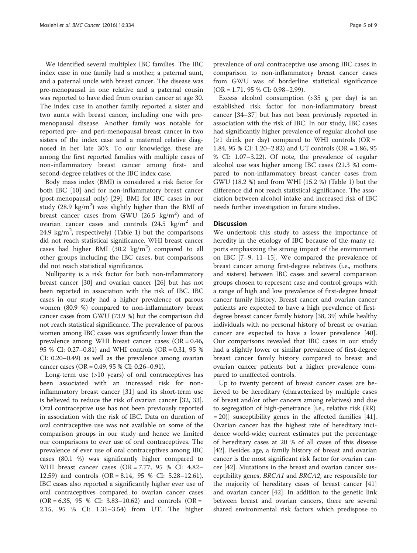We identified several multiplex IBC families. The IBC index case in one family had a mother, a paternal aunt, and a paternal uncle with breast cancer. The disease was pre-menopausal in one relative and a paternal cousin was reported to have died from ovarian cancer at age 30. The index case in another family reported a sister and two aunts with breast cancer, including one with premenopausal disease. Another family was notable for reported pre- and peri-menopausal breast cancer in two sisters of the index case and a maternal relative diagnosed in her late 30's. To our knowledge, these are among the first reported families with multiple cases of non-inflammatory breast cancer among first- and second-degree relatives of the IBC index case.

Body mass index (BMI) is considered a risk factor for both IBC [\[10](#page-7-0)] and for non-inflammatory breast cancer (post-menopausal only) [[29](#page-7-0)]. BMI for IBC cases in our study (28.9  $\text{kg/m}^2$ ) was slightly higher than the BMI of breast cancer cases from GWU  $(26.5 \text{ kg/m}^2)$  and of ovarian cancer cases and controls  $(24.5 \text{ kg/m}^2 \text{ and }$ 24.9  $\text{kg/m}^2$ , respectively) (Table [1](#page-3-0)) but the comparisons did not reach statistical significance. WHI breast cancer cases had higher BMI  $(30.2 \text{ kg/m}^2)$  compared to all other groups including the IBC cases, but comparisons did not reach statistical significance.

Nulliparity is a risk factor for both non-inflammatory breast cancer [\[30\]](#page-7-0) and ovarian cancer [[26](#page-7-0)] but has not been reported in association with the risk of IBC. IBC cases in our study had a higher prevalence of parous women (80.9 %) compared to non-inflammatory breast cancer cases from GWU (73.9 %) but the comparison did not reach statistical significance. The prevalence of parous women among IBC cases was significantly lower than the prevalence among WHI breast cancer cases (OR = 0.46, 95 % CI: 0.27–0.81) and WHI controls (OR = 0.31, 95 % CI: 0.20–0.49) as well as the prevalence among ovarian cancer cases (OR = 0.49, 95 % CI: 0.26–0.91).

Long-term use (>10 years) of oral contraceptives has been associated with an increased risk for noninflammatory breast cancer [[31\]](#page-7-0) and its short-term use is believed to reduce the risk of ovarian cancer [[32, 33](#page-7-0)]. Oral contraceptive use has not been previously reported in association with the risk of IBC. Data on duration of oral contraceptive use was not available on some of the comparison groups in our study and hence we limited our comparisons to ever use of oral contraceptives. The prevalence of ever use of oral contraceptives among IBC cases (80.1 %) was significantly higher compared to WHI breast cancer cases (OR = 7.77, 95 % CI: 4.82– 12.59) and controls (OR = 8.14, 95 % CI: 5.28–12.61). IBC cases also reported a significantly higher ever use of oral contraceptives compared to ovarian cancer cases  $(OR = 6.35, 95 % CI: 3.83–10.62)$  and controls  $(OR = 6.35, 95 % CI: 3.83–10.62)$ 2.15, 95 % CI: 1.31–3.54) from UT. The higher

prevalence of oral contraceptive use among IBC cases in comparison to non-inflammatory breast cancer cases from GWU was of borderline statistical significance  $(OR = 1.71, 95 % CI: 0.98–2.99).$ 

Excess alcohol consumption (>35 g per day) is an established risk factor for non-inflammatory breast cancer [\[34](#page-7-0)–[37\]](#page-7-0) but has not been previously reported in association with the risk of IBC. In our study, IBC cases had significantly higher prevalence of regular alcohol use  $(\geq 1)$  drink per day) compared to WHI controls (OR = 1.84, 95 % CI: 1.20–2.82) and UT controls (OR = 1.86, 95 % CI: 1.07–3.22). Of note, the prevalence of regular alcohol use was higher among IBC cases (21.3 %) compared to non-inflammatory breast cancer cases from GWU (18.2 %) and from WHI (15.2 %) (Table [1\)](#page-3-0) but the difference did not reach statistical significance. The association between alcohol intake and increased risk of IBC needs further investigation in future studies.

## Discussion

We undertook this study to assess the importance of heredity in the etiology of IBC because of the many reports emphasizing the strong impact of the environment on IBC [\[7](#page-7-0)–[9](#page-7-0), [11](#page-7-0)–[15](#page-7-0)]. We compared the prevalence of breast cancer among first-degree relatives (i.e., mothers and sisters) between IBC cases and several comparison groups chosen to represent case and control groups with a range of high and low prevalence of first-degree breast cancer family history. Breast cancer and ovarian cancer patients are expected to have a high prevalence of firstdegree breast cancer family history [[38](#page-7-0), [39](#page-7-0)] while healthy individuals with no personal history of breast or ovarian cancer are expected to have a lower prevalence [\[40](#page-7-0)]. Our comparisons revealed that IBC cases in our study had a slightly lower or similar prevalence of first-degree breast cancer family history compared to breast and ovarian cancer patients but a higher prevalence compared to unaffected controls.

Up to twenty percent of breast cancer cases are believed to be hereditary (characterized by multiple cases of breast and/or other cancers among relatives) and due to segregation of high-penetrance [i.e., relative risk (RR) = 20)] susceptibility genes in the affected families [\[41](#page-7-0)]. Ovarian cancer has the highest rate of hereditary incidence world-wide; current estimates put the percentage of hereditary cases at 20 % of all cases of this disease [[42\]](#page-7-0). Besides age, a family history of breast and ovarian cancer is the most significant risk factor for ovarian cancer [\[42](#page-7-0)]. Mutations in the breast and ovarian cancer susceptibility genes, BRCA1 and BRCA2, are responsible for the majority of hereditary cases of breast cancer [[41](#page-7-0)] and ovarian cancer [[42](#page-7-0)]. In addition to the genetic link between breast and ovarian cancers, there are several shared environmental risk factors which predispose to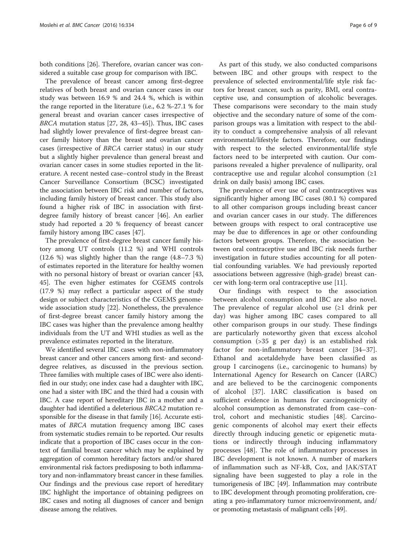both conditions [\[26](#page-7-0)]. Therefore, ovarian cancer was considered a suitable case group for comparison with IBC.

The prevalence of breast cancer among first-degree relatives of both breast and ovarian cancer cases in our study was between 16.9 % and 24.4 %, which is within the range reported in the literature (i.e., 6.2 %-27.1 % for general breast and ovarian cancer cases irrespective of BRCA mutation status [\[27, 28](#page-7-0), [43](#page-7-0)–[45](#page-8-0)]). Thus, IBC cases had slightly lower prevalence of first-degree breast cancer family history than the breast and ovarian cancer cases (irrespective of BRCA carrier status) in our study but a slightly higher prevalence than general breast and ovarian cancer cases in some studies reported in the literature. A recent nested case–control study in the Breast Cancer Surveillance Consortium (BCSC) investigated the association between IBC risk and number of factors, including family history of breast cancer. This study also found a higher risk of IBC in association with firstdegree family history of breast cancer [[46\]](#page-8-0). An earlier study had reported a 20 % frequency of breast cancer family history among IBC cases [\[47\]](#page-8-0).

The prevalence of first-degree breast cancer family history among UT controls (11.2 %) and WHI controls (12.6 %) was slightly higher than the range (4.8–7.3 %) of estimates reported in the literature for healthy women with no personal history of breast or ovarian cancer [[43](#page-7-0), [45\]](#page-8-0). The even higher estimates for CGEMS controls (17.9 %) may reflect a particular aspect of the study design or subject characteristics of the CGEMS genomewide association study [\[22](#page-7-0)]. Nonetheless, the prevalence of first-degree breast cancer family history among the IBC cases was higher than the prevalence among healthy individuals from the UT and WHI studies as well as the prevalence estimates reported in the literature.

We identified several IBC cases with non-inflammatory breast cancer and other cancers among first- and seconddegree relatives, as discussed in the previous section. Three families with multiple cases of IBC were also identified in our study; one index case had a daughter with IBC, one had a sister with IBC and the third had a cousin with IBC. A case report of hereditary IBC in a mother and a daughter had identified a deleterious BRCA2 mutation responsible for the disease in that family [\[16\]](#page-7-0). Accurate estimates of BRCA mutation frequency among IBC cases from systematic studies remain to be reported. Our results indicate that a proportion of IBC cases occur in the context of familial breast cancer which may be explained by aggregation of common hereditary factors and/or shared environmental risk factors predisposing to both inflammatory and non-inflammatory breast cancer in these families. Our findings and the previous case report of hereditary IBC highlight the importance of obtaining pedigrees on IBC cases and noting all diagnoses of cancer and benign disease among the relatives.

As part of this study, we also conducted comparisons between IBC and other groups with respect to the prevalence of selected environmental/life style risk factors for breast cancer, such as parity, BMI, oral contraceptive use, and consumption of alcoholic beverages. These comparisons were secondary to the main study objective and the secondary nature of some of the comparison groups was a limitation with respect to the ability to conduct a comprehensive analysis of all relevant environmental/lifestyle factors. Therefore, our findings with respect to the selected environmental/life style factors need to be interpreted with caution. Our comparisons revealed a higher prevalence of nulliparity, oral contraceptive use and regular alcohol consumption  $(≥1)$ drink on daily basis) among IBC cases.

The prevalence of ever use of oral contraceptives was significantly higher among IBC cases (80.1 %) compared to all other comparison groups including breast cancer and ovarian cancer cases in our study. The differences between groups with respect to oral contraceptive use may be due to differences in age or other confounding factors between groups. Therefore, the association between oral contraceptive use and IBC risk needs further investigation in future studies accounting for all potential confounding variables. We had previously reported associations between aggressive (high-grade) breast cancer with long-term oral contraceptive use [[11\]](#page-7-0).

Our findings with respect to the association between alcohol consumption and IBC are also novel. The prevalence of regular alcohol use  $(\geq 1)$  drink per day) was higher among IBC cases compared to all other comparison groups in our study. These findings are particularly noteworthy given that excess alcohol consumption (>35 g per day) is an established risk factor for non-inflammatory breast cancer [\[34](#page-7-0)–[37](#page-7-0)]. Ethanol and acetaldehyde have been classified as group I carcinogens (i.e., carcinogenic to humans) by International Agency for Research on Cancer (IARC) and are believed to be the carcinogenic components of alcohol [\[37](#page-7-0)]. IARC classification is based on sufficient evidence in humans for carcinogenicity of alcohol consumption as demonstrated from case–control, cohort and mechanistic studies [[48\]](#page-8-0). Carcinogenic components of alcohol may exert their effects directly through inducing genetic or epigenetic mutations or indirectly through inducing inflammatory processes [[48\]](#page-8-0). The role of inflammatory processes in IBC development is not known. A number of markers of inflammation such as NF-kB, Cox, and JAK/STAT signaling have been suggested to play a role in the tumorigenesis of IBC [\[49\]](#page-8-0). Inflammation may contribute to IBC development through promoting proliferation, creating a pro-inflammatory tumor microenvironment, and/ or promoting metastasis of malignant cells [[49](#page-8-0)].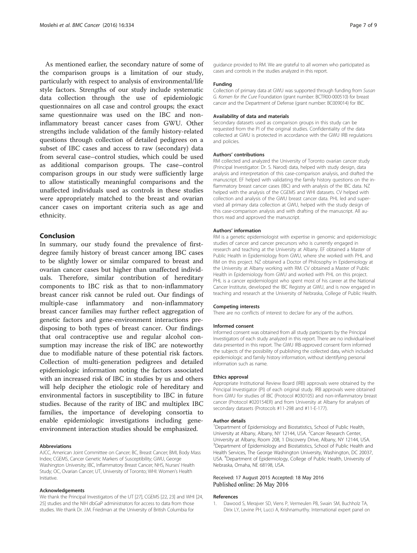<span id="page-6-0"></span>As mentioned earlier, the secondary nature of some of the comparison groups is a limitation of our study, particularly with respect to analysis of environmental/life style factors. Strengths of our study include systematic data collection through the use of epidemiologic questionnaires on all case and control groups; the exact same questionnaire was used on the IBC and noninflammatory breast cancer cases from GWU. Other strengths include validation of the family history-related questions through collection of detailed pedigrees on a subset of IBC cases and access to raw (secondary) data from several case–control studies, which could be used as additional comparison groups. The case–control comparison groups in our study were sufficiently large to allow statistically meaningful comparisons and the unaffected individuals used as controls in these studies were appropriately matched to the breast and ovarian cancer cases on important criteria such as age and ethnicity.

## Conclusion

In summary, our study found the prevalence of firstdegree family history of breast cancer among IBC cases to be slightly lower or similar compared to breast and ovarian cancer cases but higher than unaffected individuals. Therefore, similar contribution of hereditary components to IBC risk as that to non-inflammatory breast cancer risk cannot be ruled out. Our findings of multiple-case inflammatory and non-inflammatory breast cancer families may further reflect aggregation of genetic factors and gene-environment interactions predisposing to both types of breast cancer. Our findings that oral contraceptive use and regular alcohol consumption may increase the risk of IBC are noteworthy due to modifiable nature of these potential risk factors. Collection of multi-generation pedigrees and detailed epidemiologic information noting the factors associated with an increased risk of IBC in studies by us and others will help decipher the etiologic role of hereditary and environmental factors in susceptibility to IBC in future studies. Because of the rarity of IBC and multiplex IBC families, the importance of developing consortia to enable epidemiologic investigations including geneenvironment interaction studies should be emphasized.

## Abbreviations

AJCC, American Joint Committee on Cancer; BC, Breast Cancer; BMI, Body Mass Index; CGEMS, Cancer Genetic Markers of Susceptibility; GWU, George Washington University; IBC, Inflammatory Breast Cancer; NHS, Nurses' Health Study; OC, Ovarian Cancer; UT, University of Toronto; WHI: Women's Health Initiative.

#### Acknowledgements

We thank the Principal Investigators of the UT [\[27](#page-7-0)], CGEMS [\[22, 23\]](#page-7-0) and WHI [[24,](#page-7-0) [25\]](#page-7-0) studies and the NIH dbGaP administrators for access to data from those studies. We thank Dr. J.M. Friedman at the University of British Columbia for

guidance provided to RM. We are grateful to all women who participated as cases and controls in the studies analyzed in this report.

## Funding

Collection of primary data at GWU was supported through funding from Susan G. Komen for the Cure Foundation (grant number: BCTR00-000510) for breast cancer and the Department of Defense (grant number: BC009014) for IBC.

#### Availability of data and materials

Secondary datasets used as comparison groups in this study can be requested from the PI of the original studies. Confidentiality of the data collected at GWU is protected in accordance with the GWU IRB regulations and policies.

#### Authors' contributions

RM collected and analyzed the University of Toronto ovarian cancer study (Principal Investigator: Dr. S. Narod) data, helped with study design, data analysis and interpretation of this case-comparison analysis, and drafted the manuscript. EF helped with validating the family history questions on the inflammatory breast cancer cases (IBC) and with analysis of the IBC data. NZ helped with the analysis of the CGEMS and WHI datasets. CV helped with collection and analysis of the GWU breast cancer data. PHL led and supervised all primary data collection at GWU, helped with the study design of this case-comparison analysis and with drafting of the manuscript. All authors read and approved the manuscript.

#### Authors' information

RM is a genetic epidemiologist with expertise in genomic and epidemiologic studies of cancer and cancer precursors who is currently engaged in research and teaching at the University at Albany. EF obtained a Master of Public Health in Epidemiology from GWU, where she worked with PHL and RM on this project. NZ obtained a Doctor of Philosophy in Epidemiology at the University at Albany working with RM. CV obtained a Master of Public Health in Epidemiology from GWU and worked with PHL on this project. PHL is a cancer epidemiologist who spent most of his career at the National Cancer Institute, developed the IBC Registry at GWU, and is now engaged in teaching and research at the University of Nebraska, College of Public Health.

#### Competing interests

There are no conflicts of interest to declare for any of the authors.

#### Informed consent

Informed consent was obtained from all study participants by the Principal Investigators of each study analyzed in this report. There are no individual-level data presented in this report. The GWU IRB-approved consent form informed the subjects of the possibility of publishing the collected data, which included epidemiologic and family history information, without identifying personal information such as name.

#### Ethics approval

Appropriate Institutional Review Board (IRB) approvals were obtained by the Principal Investigator (PI) of each original study. IRB approvals were obtained from GWU for studies of IBC (Protocol #030105) and non-inflammatory breast cancer (Protocol #020154ER) and from University at Albany for analyses of secondary datasets (Protocols #11-298 and #11-E-177).

#### Author details

<sup>1</sup>Department of Epidemiology and Biostatistics, School of Public Health, University at Albany, Albany, NY 12144, USA. <sup>2</sup> Cancer Research Center, University at Albany, Room 208, 1 Discovery Drive, Albany, NY 12144, USA. <sup>3</sup>Department of Epidemiology and Biostatistics, School of Public Health and Health Services, The George Washington University, Washington, DC 20037, USA. <sup>4</sup>Department of Epidemiology, College of Public Health, University of Nebraska, Omaha, NE 68198, USA.

## Received: 17 August 2015 Accepted: 18 May 2016 Published online: 26 May 2016

#### References

1. Dawood S, Merajver SD, Viens P, Vermeulen PB, Swain SM, Buchholz TA, Dirix LY, Levine PH, Lucci A, Krishnamurthy. International expert panel on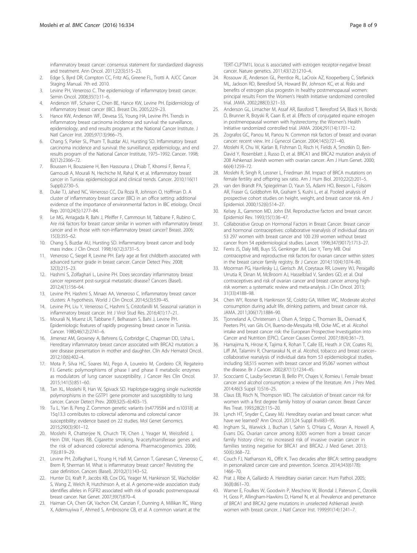<span id="page-7-0"></span>inflammatory breast cancer: consensus statement for standardized diagnosis and treatment. Ann Oncol. 2011;22(3):515–23.

- 2. Edge S, Byrd DR, Compton CC, Fritz AG, Greene FL, Trotti A. AJCC Cancer Staging Manual. 7th ed. 2010.
- Levine PH, Veneroso C. The epidemiology of inflammatory breast cancer. Semin Oncol. 2008;35(1):11–6.
- 4. Anderson WF, Schairer C, Chen BE, Hance KW, Levine PH. Epidemiology of inflammatory breast cancer (IBC). Breast Dis. 2005;22:9–23.
- Hance KW, Anderson WF, Devesa SS, Young HA, Levine PH. Trends in inflammatory breast carcinoma incidence and survival: the surveillance, epidemiology, and end results program at the National Cancer Institute. J Natl Cancer Inst. 2005;97(13):966–75.
- 6. Chang S, Parker SL, Pham T, Buzdar AU, Hursting SD. Inflammatory breast carcinoma incidence and survival: the surveillance, epidemiology, and end results program of the National Cancer Institute, 1975–1992. Cancer. 1998; 82(12):2366–72.
- 7. Boussen H, Bouzaiene H, Ben Hassouna J, Dhiab T, Khomsi F, Benna F, Gamoudi A, Mourali N, Hechiche M, Rahal K, et al. Inflammatory breast cancer in Tunisia: epidemiological and clinical trends. Cancer. 2010;116(11 Suppl):2730–5.
- 8. Duke TJ, Jahed NC, Veneroso CC, Da Roza R, Johnson O, Hoffman D. A cluster of inflammatory breast cancer (IBC) in an office setting: additional evidence of the importance of environmental factors in IBC etiology. Oncol Rep. 2010;24(5):1277–84.
- Le MG, Arriagada R, Bahi J, Pfeiffer F, Cammoun M, Tabbane F, Rubino C. Are risk factors for breast cancer similar in women with inflammatory breast cancer and in those with non-inflammatory breast cancer? Breast. 2006; 15(3):355–62.
- 10. Chang S, Buzdar AU, Hursting SD. Inflammatory breast cancer and body mass index. J Clin Oncol. 1998;16(12):3731–5.
- 11. Veneroso C, Siegel R, Levine PH. Early age at first childbirth associated with advanced tumor grade in breast cancer. Cancer Detect Prev. 2008; 32(3):215–23.
- 12. Hashmi S, Zolfaghari L, Levine PH. Does secondary inflammatory breast cancer represent post-surgical metastatic disease? Cancers (Basel). 2012;4(1):156–64.
- 13. Levine PH, Hashmi S, Minaei AA, Veneroso C. Inflammatory breast cancer clusters: A hypothesis. World J Clin Oncol. 2014;5(3):539–45.
- 14. Levine PH, Liu Y, Veneroso C, Hashmi S, Cristofanilli M. Seasonal variation in inflammatory breast cancer. Int J Virol Stud Res. 2016;4(1):17–21.
- 15. Mourali N, Muenz LR, Tabbane F, Belhassen S, Bahi J, Levine PH. Epidemiologic features of rapidly progressing breast cancer in Tunisia. Cancer. 1980;46(12):2741–6.
- 16. Jimenez AM, Growney A, Behrens G, Corbridge C, Chapman DD, Usha L. Hereditary inflammatory breast cancer associated with BRCA2 mutation: a rare disease presentation in mother and daughter. Clin Adv Hematol Oncol. 2012;10(6):402–4.
- 17. Mota P, Silva HC, Soares MJ, Pego A, Loureiro M, Cordeiro CR, Regateiro FJ. Genetic polymorphisms of phase I and phase II metabolic enzymes as modulators of lung cancer susceptibility. J Cancer Res Clin Oncol. 2015;141(5):851–60.
- 18. Tan XL, Moslehi R, Han W, Spivack SD. Haplotype-tagging single nucleotide polymorphisms in the GSTP1 gene promoter and susceptibility to lung cancer. Cancer Detect Prev. 2009;32(5–6):403–15.
- 19. Tu L, Yan B, Peng Z. Common genetic variants (rs4779584 and rs10318) at 15q13.3 contributes to colorectal adenoma and colorectal cancer susceptibility: evidence based on 22 studies. Mol Genet Genomics. 2015;290(3):901–12.
- 20. Moslehi R, Chatterjee N, Church TR, Chen J, Yeager M, Weissfeld J, Hein DW, Hayes RB. Cigarette smoking, N-acetyltransferase genes and the risk of advanced colorectal adenoma. Pharmacogenomics. 2006; 7(6):819–29.
- 21. Levine PH, Zolfaghari L, Young H, Hafi M, Cannon T, Ganesan C, Veneroso C, Brem R, Sherman M. What is inflammatory breast cancer? Revisiting the case definition. Cancers (Basel). 2010;2(1):143–52.
- 22. Hunter DJ, Kraft P, Jacobs KB, Cox DG, Yeager M, Hankinson SE, Wacholder S, Wang Z, Welch R, Hutchinson A, et al. A genome-wide association study identifies alleles in FGFR2 associated with risk of sporadic postmenopausal breast cancer. Nat Genet. 2007;39(7):870–4.
- 23. Haiman CA, Chen GK, Vachon CM, Canzian F, Dunning A, Millikan RC, Wang X, Ademuyiwa F, Ahmed S, Ambrosone CB, et al. A common variant at the

TERT-CLPTM1L locus is associated with estrogen receptor-negative breast cancer. Nature genetics. 2011;43(12):1210–4.

- 24. Rossouw JE, Anderson GL, Prentice RL, LaCroix AZ, Kooperberg C, Stefanick ML, Jackson RD, Beresford SA, Howard BV, Johnson KC, et al. Risks and benefits of estrogen plus progestin in healthy postmenopausal women: principal results From the Women's Health Initiative randomized controlled trial. JAMA. 2002;288(3):321–33.
- 25. Anderson GL, Limacher M, Assaf AR, Bassford T, Beresford SA, Black H, Bonds D, Brunner R, Brzyski R, Caan B, et al. Effects of conjugated equine estrogen in postmenopausal women with hysterectomy: the Women's Health Initiative randomized controlled trial. JAMA. 2004;291(14):1701–12.
- 26. Zografos GC, Panou M, Panou N. Common risk factors of breast and ovarian cancer: recent view. Int J Gynecol Cancer. 2004;14(5):721–40.
- 27. Moslehi R, Chu W, Karlan B, Fishman D, Risch H, Fields A, Smotkin D, Ben-David Y, Rosenblatt J, Russo D, et al. BRCA1 and BRCA2 mutation analysis of 208 Ashkenazi Jewish women with ovarian cancer. Am J Hum Genet. 2000; 66(4):1259–72.
- 28. Moslehi R, Singh R, Lessner L, Friedman JM. Impact of BRCA mutations on female fertility and offspring sex ratio. Am J Hum Biol. 2010;22(2):201–5.
- 29. van den Brandt PA, Spiegelman D, Yaun SS, Adami HO, Beeson L, Folsom AR, Fraser G, Goldbohm RA, Graham S, Kushi L, et al. Pooled analysis of prospective cohort studies on height, weight, and breast cancer risk. Am J Epidemiol. 2000;152(6):514–27.
- 30. Kelsey JL, Gammon MD, John EM. Reproductive factors and breast cancer. Epidemiol Rev. 1993;15(1):36–47.
- 31. Collaborative Group on Hormonal Factors in Breast Cancer. Breast cancer and hormonal contraceptives: collaborative reanalysis of individual data on 53 297 women with breast cancer and 100 239 women without breast cancer from 54 epidemiological studies. Lancet. 1996;347(9017):1713–27.
- 32. Ferris JS, Daly MB, Buys SS, Genkinger JM, Liao Y, Terry MB. Oral contraceptive and reproductive risk factors for ovarian cancer within sisters in the breast cancer family registry. Br J Cancer. 2014;110(4):1074–80.
- 33. Moorman PG, Havrilesky LJ, Gierisch JM, Coeytaux RR, Lowery WJ, Peragallo Urrutia R, Dinan M, McBroom AJ, Hasselblad V, Sanders GD, et al. Oral contraceptives and risk of ovarian cancer and breast cancer among highrisk women: a systematic review and meta-analysis. J Clin Oncol. 2013; 31(33):4188–98.
- 34. Chen WY, Rosner B, Hankinson SE, Colditz GA, Willett WC. Moderate alcohol consumption during adult life, drinking patterns, and breast cancer risk. JAMA. 2011;306(17):1884–90.
- 35. Tjonneland A, Christensen J, Olsen A, Stripp C, Thomsen BL, Overvad K, Peeters PH, van Gils CH, Bueno-de-Mesquita HB, Ocke MC, et al. Alcohol intake and breast cancer risk: the European Prospective Investigation into Cancer and Nutrition (EPIC). Cancer Causes Control. 2007;18(4):361–73.
- 36. Hamajima N, Hirose K, Tajima K, Rohan T, Calle EE, Heath Jr CW, Coates RJ, Liff JM, Talamini R, Chantarakul N, et al. Alcohol, tobacco and breast cancer– collaborative reanalysis of individual data from 53 epidemiological studies, including 58,515 women with breast cancer and 95,067 women without the disease. Br J Cancer. 2002;87(11):1234–45.
- 37. Scoccianti C, Lauby-Secretan B, Bello PY, Chajes V, Romieu I. Female breast cancer and alcohol consumption: a review of the literature. Am J Prev Med. 2014;46(3 Suppl 1):S16–25.
- 38. Claus EB, Risch N, Thompson WD. The calculation of breast cancer risk for women with a first degree family history of ovarian cancer. Breast Cancer Res Treat. 1993;28(2):115–20.
- 39. Lynch HT, Snyder C, Casey MJ. Hereditary ovarian and breast cancer: what have we learned? Ann Oncol. 2013;24 Suppl 8:viii83-95.
- 40. Ingham SL, Warwick J, Buchan I, Sahin S, O'Hara C, Moran A, Howell A, Evans DG. Ovarian cancer among 8,005 women from a breast cancer family history clinic: no increased risk of invasive ovarian cancer in families testing negative for BRCA1 and BRCA2. J Med Genet. 2013; 50(6):368–72.
- 41. Couch FJ, Nathanson KL, Offit K. Two decades after BRCA: setting paradigms in personalized cancer care and prevention. Science. 2014;343(6178): 1466–70.
- 42. Prat J, Ribe A, Gallardo A. Hereditary ovarian cancer. Hum Pathol. 2005; 36(8):861–70.
- 43. Warner E, Foulkes W, Goodwin P, Meschino W, Blondal J, Paterson C, Ozcelik H, Goss P, Allingham-Hawkins D, Hamel N, et al. Prevalence and penetrance of BRCA1 and BRCA2 gene mutations in unselected Ashkenazi Jewish women with breast cancer. J Natl Cancer Inst. 1999;91(14):1241–7.